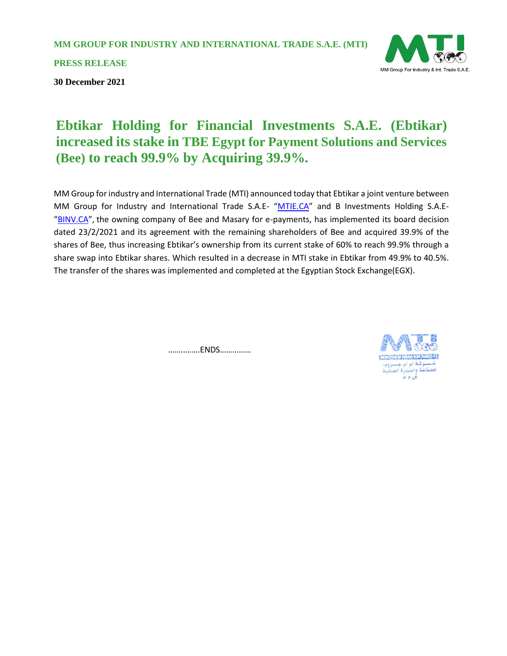**MM GROUP FOR INDUSTRY AND INTERNATIONAL TRADE S.A.E. (MTI)**

**PRESS RELEASE**

**30 December 2021**



MM Group for industry and International Trade (MTI) announced today that Ebtikar a joint venture between MM Group for Industry and International Trade S.A.E- "[MTIE.CA](http://mtie.ca/)" and B Investments Holding S.A.E-"[BINV.CA](http://binv.ca/)", the owning company of Bee and Masary for e-payments, has implemented its board decision dated 23/2/2021 and its agreement with the remaining shareholders of Bee and acquired 39.9% of the shares of Bee, thus increasing Ebtikar's ownership from its current stake of 60% to reach 99.9% through a share swap into Ebtikar shares. Which resulted in a decrease in MTI stake in Ebtikar from 49.9% to 40.5%. The transfer of the shares was implemented and completed at the Egyptian Stock Exchange(EGX).

……..…….ENDS……………